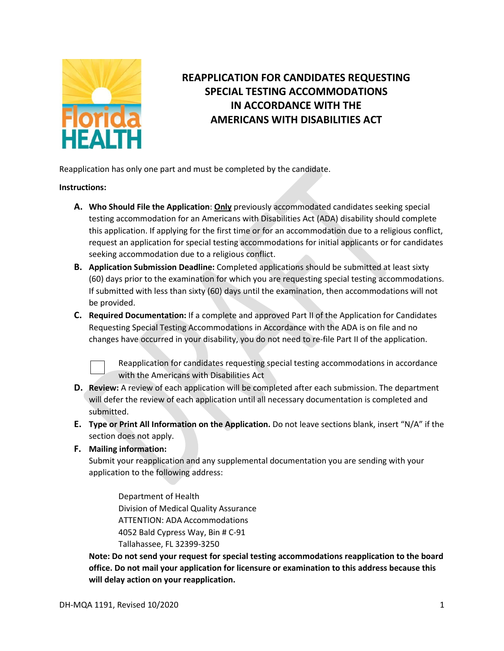

## **REAPPLICATION FOR CANDIDATES REQUESTING SPECIAL TESTING ACCOMMODATIONS IN ACCORDANCE WITH THE AMERICANS WITH DISABILITIES ACT**

Reapplication has only one part and must be completed by the candidate.

## **Instructions:**

- **A. Who Should File the Application**: **Only** previously accommodated candidates seeking special testing accommodation for an Americans with Disabilities Act (ADA) disability should complete this application. If applying for the first time or for an accommodation due to a religious conflict, request an application for special testing accommodations for initial applicants or for candidates seeking accommodation due to a religious conflict.
- **B. Application Submission Deadline:** Completed applications should be submitted at least sixty (60) days prior to the examination for which you are requesting special testing accommodations. If submitted with less than sixty (60) days until the examination, then accommodations will not be provided.
- **C. Required Documentation:** If a complete and approved Part II of the Application for Candidates Requesting Special Testing Accommodations in Accordance with the ADA is on file and no changes have occurred in your disability, you do not need to re-file Part II of the application.



Reapplication for candidates requesting special testing accommodations in accordance with the Americans with Disabilities Act

- **D. Review:** A review of each application will be completed after each submission. The department will defer the review of each application until all necessary documentation is completed and submitted.
- **E. Type or Print All Information on the Application.** Do not leave sections blank, insert "N/A" if the section does not apply.
- **F. Mailing information:**

Submit your reapplication and any supplemental documentation you are sending with your application to the following address:

Department of Health Division of Medical Quality Assurance ATTENTION: ADA Accommodations 4052 Bald Cypress Way, Bin # C-91 Tallahassee, FL 32399-3250

**Note: Do not send your request for special testing accommodations reapplication to the board office. Do not mail your application for licensure or examination to this address because this will delay action on your reapplication.**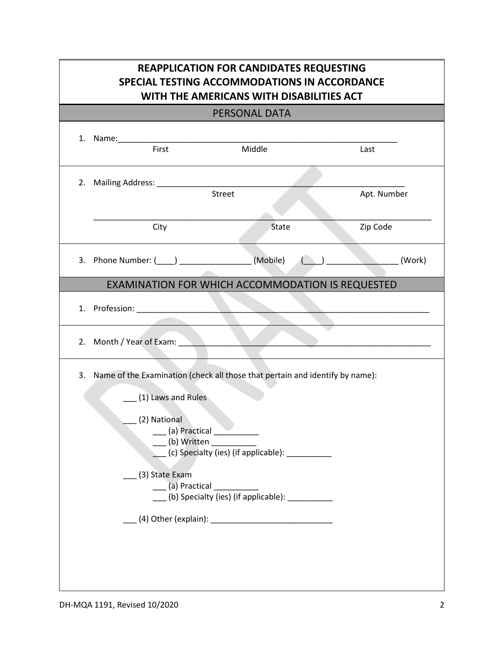| <b>REAPPLICATION FOR CANDIDATES REQUESTING</b><br>SPECIAL TESTING ACCOMMODATIONS IN ACCORDANCE<br>WITH THE AMERICANS WITH DISABILITIES ACT<br>PERSONAL DATA |                                                        |                                                                                                                                                                                                                                          |             |
|-------------------------------------------------------------------------------------------------------------------------------------------------------------|--------------------------------------------------------|------------------------------------------------------------------------------------------------------------------------------------------------------------------------------------------------------------------------------------------|-------------|
|                                                                                                                                                             |                                                        |                                                                                                                                                                                                                                          |             |
|                                                                                                                                                             | 2. Mailing Address: _________                          | <b>Street</b>                                                                                                                                                                                                                            | Apt. Number |
|                                                                                                                                                             | City                                                   | State                                                                                                                                                                                                                                    | Zip Code    |
|                                                                                                                                                             | 3. Phone Number: (____) ____________________(Mobile)   |                                                                                                                                                                                                                                          | (Work)      |
| EXAMINATION FOR WHICH ACCOMMODATION IS REQUESTED                                                                                                            |                                                        |                                                                                                                                                                                                                                          |             |
|                                                                                                                                                             |                                                        |                                                                                                                                                                                                                                          |             |
|                                                                                                                                                             | 2. Month / Year of Exam:                               |                                                                                                                                                                                                                                          |             |
|                                                                                                                                                             | $(1)$ Laws and Rules<br>(2) National<br>(3) State Exam | 3. Name of the Examination (check all those that pertain and identify by name):<br>____ (a) Practical ___________<br>(b) Written<br>(c) Specialty (ies) (if applicable): ____________<br>(b) Specialty (ies) (if applicable): __________ |             |